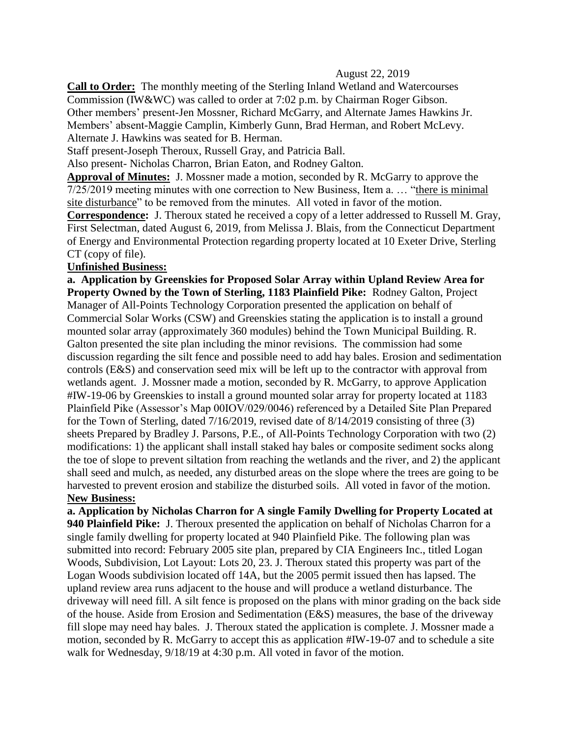## August 22, 2019

**Call to Order:** The monthly meeting of the Sterling Inland Wetland and Watercourses Commission (IW&WC) was called to order at 7:02 p.m. by Chairman Roger Gibson. Other members' present-Jen Mossner, Richard McGarry, and Alternate James Hawkins Jr. Members' absent-Maggie Camplin, Kimberly Gunn, Brad Herman, and Robert McLevy. Alternate J. Hawkins was seated for B. Herman.

Staff present-Joseph Theroux, Russell Gray, and Patricia Ball.

Also present- Nicholas Charron, Brian Eaton, and Rodney Galton.

**Approval of Minutes:** J. Mossner made a motion, seconded by R. McGarry to approve the 7/25/2019 meeting minutes with one correction to New Business, Item a. … "there is minimal site disturbance" to be removed from the minutes. All voted in favor of the motion.

**Correspondence:** J. Theroux stated he received a copy of a letter addressed to Russell M. Gray, First Selectman, dated August 6, 2019, from Melissa J. Blais, from the Connecticut Department of Energy and Environmental Protection regarding property located at 10 Exeter Drive, Sterling CT (copy of file).

## **Unfinished Business:**

**a. Application by Greenskies for Proposed Solar Array within Upland Review Area for Property Owned by the Town of Sterling, 1183 Plainfield Pike:** Rodney Galton, Project Manager of All-Points Technology Corporation presented the application on behalf of Commercial Solar Works (CSW) and Greenskies stating the application is to install a ground mounted solar array (approximately 360 modules) behind the Town Municipal Building. R. Galton presented the site plan including the minor revisions. The commission had some discussion regarding the silt fence and possible need to add hay bales. Erosion and sedimentation controls (E&S) and conservation seed mix will be left up to the contractor with approval from wetlands agent. J. Mossner made a motion, seconded by R. McGarry, to approve Application #IW-19-06 by Greenskies to install a ground mounted solar array for property located at 1183 Plainfield Pike (Assessor's Map 00IOV/029/0046) referenced by a Detailed Site Plan Prepared for the Town of Sterling, dated 7/16/2019, revised date of 8/14/2019 consisting of three (3) sheets Prepared by Bradley J. Parsons, P.E., of All-Points Technology Corporation with two (2) modifications: 1) the applicant shall install staked hay bales or composite sediment socks along the toe of slope to prevent siltation from reaching the wetlands and the river, and 2) the applicant shall seed and mulch, as needed, any disturbed areas on the slope where the trees are going to be harvested to prevent erosion and stabilize the disturbed soils. All voted in favor of the motion. **New Business:**

**a. Application by Nicholas Charron for A single Family Dwelling for Property Located at 940 Plainfield Pike:** J. Theroux presented the application on behalf of Nicholas Charron for a single family dwelling for property located at 940 Plainfield Pike. The following plan was submitted into record: February 2005 site plan, prepared by CIA Engineers Inc., titled Logan Woods, Subdivision, Lot Layout: Lots 20, 23. J. Theroux stated this property was part of the Logan Woods subdivision located off 14A, but the 2005 permit issued then has lapsed. The upland review area runs adjacent to the house and will produce a wetland disturbance. The driveway will need fill. A silt fence is proposed on the plans with minor grading on the back side of the house. Aside from Erosion and Sedimentation (E&S) measures, the base of the driveway fill slope may need hay bales. J. Theroux stated the application is complete. J. Mossner made a motion, seconded by R. McGarry to accept this as application #IW-19-07 and to schedule a site walk for Wednesday,  $9/18/19$  at 4:30 p.m. All voted in favor of the motion.